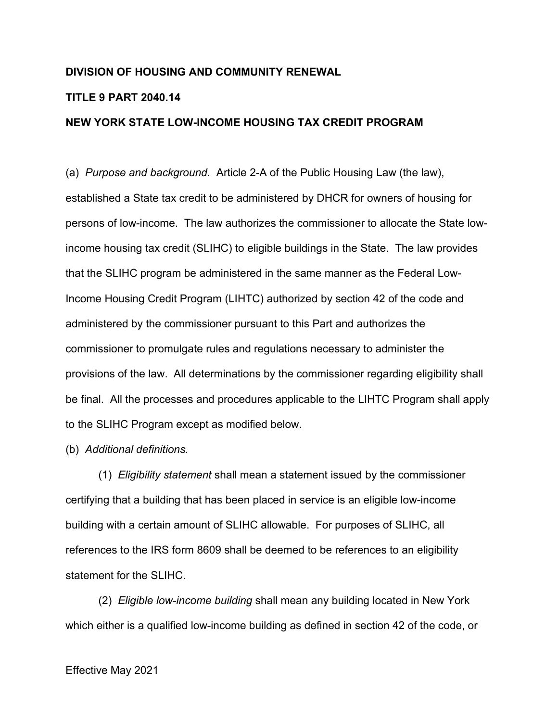## **DIVISION OF HOUSING AND COMMUNITY RENEWAL**

## **TITLE 9 PART 2040.14**

## **NEW YORK STATE LOW-INCOME HOUSING TAX CREDIT PROGRAM**

(a) *Purpose and background.* Article 2-A of the Public Housing Law (the law), established a State tax credit to be administered by DHCR for owners of housing for persons of low-income. The law authorizes the commissioner to allocate the State lowincome housing tax credit (SLIHC) to eligible buildings in the State. The law provides that the SLIHC program be administered in the same manner as the Federal Low-Income Housing Credit Program (LIHTC) authorized by section 42 of the code and administered by the commissioner pursuant to this Part and authorizes the commissioner to promulgate rules and regulations necessary to administer the provisions of the law. All determinations by the commissioner regarding eligibility shall be final. All the processes and procedures applicable to the LIHTC Program shall apply to the SLIHC Program except as modified below.

## (b) *Additional definitions.*

(1) *Eligibility statement* shall mean a statement issued by the commissioner certifying that a building that has been placed in service is an eligible low-income building with a certain amount of SLIHC allowable. For purposes of SLIHC, all references to the IRS form 8609 shall be deemed to be references to an eligibility statement for the SLIHC.

(2) *Eligible low-income building* shall mean any building located in New York which either is a qualified low-income building as defined in section 42 of the code, or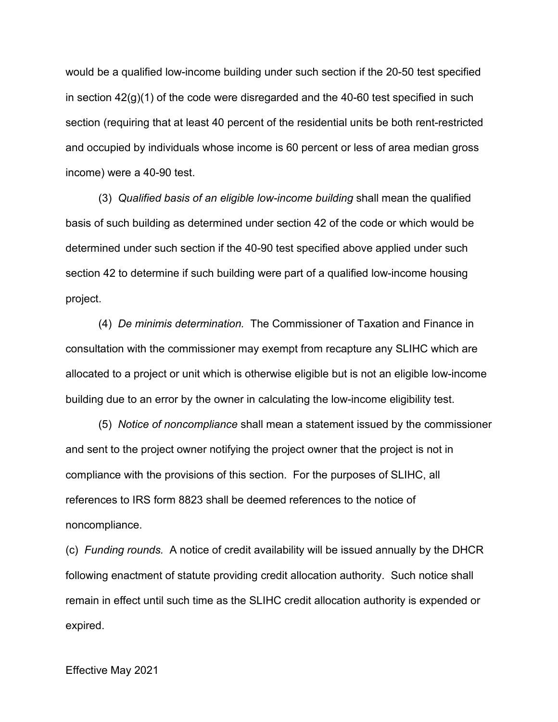would be a qualified low-income building under such section if the 20-50 test specified in section  $42<sub>(g)</sub>(1)$  of the code were disregarded and the 40-60 test specified in such section (requiring that at least 40 percent of the residential units be both rent-restricted and occupied by individuals whose income is 60 percent or less of area median gross income) were a 40-90 test.

(3) *Qualified basis of an eligible low-income building* shall mean the qualified basis of such building as determined under section 42 of the code or which would be determined under such section if the 40-90 test specified above applied under such section 42 to determine if such building were part of a qualified low-income housing project.

(4) *De minimis determination.* The Commissioner of Taxation and Finance in consultation with the commissioner may exempt from recapture any SLIHC which are allocated to a project or unit which is otherwise eligible but is not an eligible low-income building due to an error by the owner in calculating the low-income eligibility test.

(5) *Notice of noncompliance* shall mean a statement issued by the commissioner and sent to the project owner notifying the project owner that the project is not in compliance with the provisions of this section. For the purposes of SLIHC, all references to IRS form 8823 shall be deemed references to the notice of noncompliance.

(c) *Funding rounds.* A notice of credit availability will be issued annually by the DHCR following enactment of statute providing credit allocation authority. Such notice shall remain in effect until such time as the SLIHC credit allocation authority is expended or expired.

Effective May 2021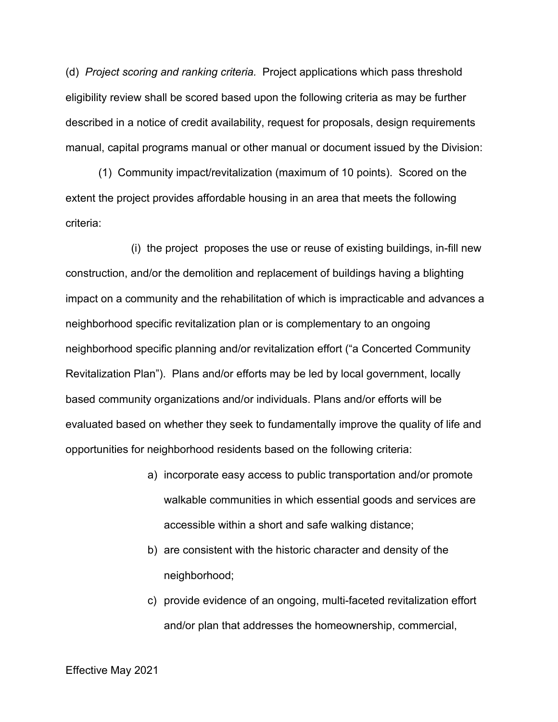(d) *Project scoring and ranking criteria.* Project applications which pass threshold eligibility review shall be scored based upon the following criteria as may be further described in a notice of credit availability, request for proposals, design requirements manual, capital programs manual or other manual or document issued by the Division:

(1) Community impact/revitalization (maximum of 10 points). Scored on the extent the project provides affordable housing in an area that meets the following criteria:

(i) the project proposes the use or reuse of existing buildings, in-fill new construction, and/or the demolition and replacement of buildings having a blighting impact on a community and the rehabilitation of which is impracticable and advances a neighborhood specific revitalization plan or is complementary to an ongoing neighborhood specific planning and/or revitalization effort ("a Concerted Community Revitalization Plan"). Plans and/or efforts may be led by local government, locally based community organizations and/or individuals. Plans and/or efforts will be evaluated based on whether they seek to fundamentally improve the quality of life and opportunities for neighborhood residents based on the following criteria:

- a) incorporate easy access to public transportation and/or promote walkable communities in which essential goods and services are accessible within a short and safe walking distance;
- b) are consistent with the historic character and density of the neighborhood;
- c) provide evidence of an ongoing, multi-faceted revitalization effort and/or plan that addresses the homeownership, commercial,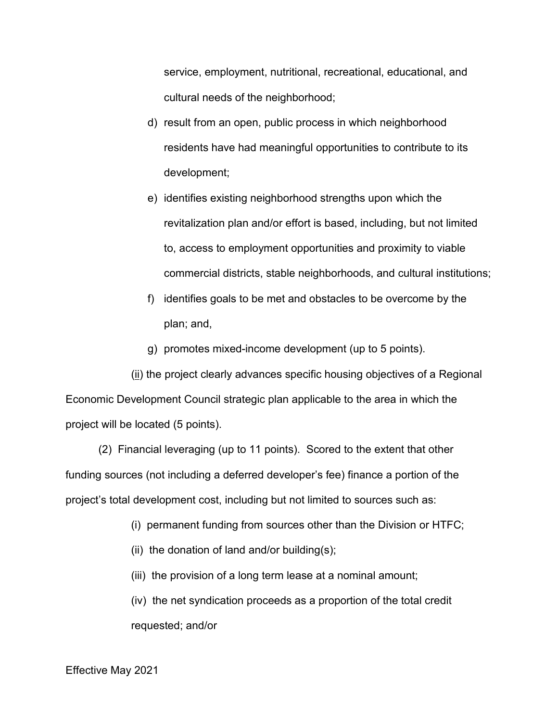service, employment, nutritional, recreational, educational, and cultural needs of the neighborhood;

- d) result from an open, public process in which neighborhood residents have had meaningful opportunities to contribute to its development;
- e) identifies existing neighborhood strengths upon which the revitalization plan and/or effort is based, including, but not limited to, access to employment opportunities and proximity to viable commercial districts, stable neighborhoods, and cultural institutions;
- f) identifies goals to be met and obstacles to be overcome by the plan; and,
- g) promotes mixed-income development (up to 5 points).

(ii) the project clearly advances specific housing objectives of a Regional Economic Development Council strategic plan applicable to the area in which the project will be located (5 points).

(2) Financial leveraging (up to 11 points). Scored to the extent that other funding sources (not including a deferred developer's fee) finance a portion of the project's total development cost, including but not limited to sources such as:

- (i) permanent funding from sources other than the Division or HTFC;
- (ii) the donation of land and/or building $(s)$ ;
- (iii) the provision of a long term lease at a nominal amount;

(iv) the net syndication proceeds as a proportion of the total credit requested; and/or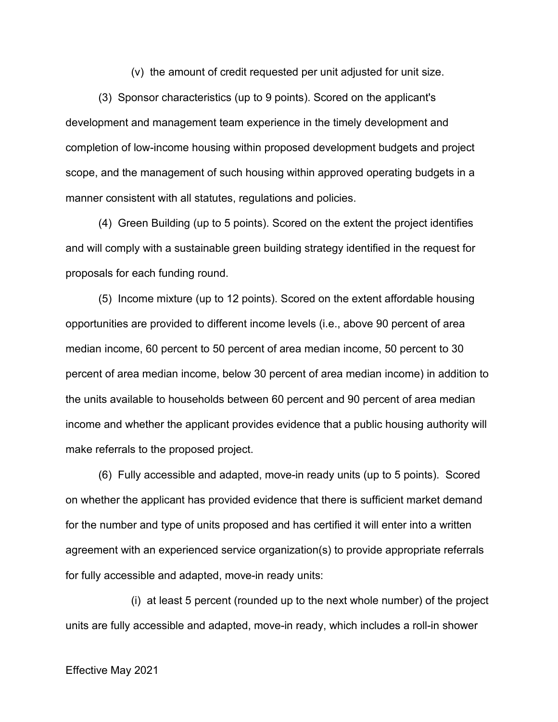(v) the amount of credit requested per unit adjusted for unit size.

(3) Sponsor characteristics (up to 9 points). Scored on the applicant's development and management team experience in the timely development and completion of low-income housing within proposed development budgets and project scope, and the management of such housing within approved operating budgets in a manner consistent with all statutes, regulations and policies.

(4) Green Building (up to 5 points). Scored on the extent the project identifies and will comply with a sustainable green building strategy identified in the request for proposals for each funding round.

(5) Income mixture (up to 12 points). Scored on the extent affordable housing opportunities are provided to different income levels (i.e., above 90 percent of area median income, 60 percent to 50 percent of area median income, 50 percent to 30 percent of area median income, below 30 percent of area median income) in addition to the units available to households between 60 percent and 90 percent of area median income and whether the applicant provides evidence that a public housing authority will make referrals to the proposed project.

(6) Fully accessible and adapted, move-in ready units (up to 5 points). Scored on whether the applicant has provided evidence that there is sufficient market demand for the number and type of units proposed and has certified it will enter into a written agreement with an experienced service organization(s) to provide appropriate referrals for fully accessible and adapted, move-in ready units:

(i) at least 5 percent (rounded up to the next whole number) of the project units are fully accessible and adapted, move-in ready, which includes a roll-in shower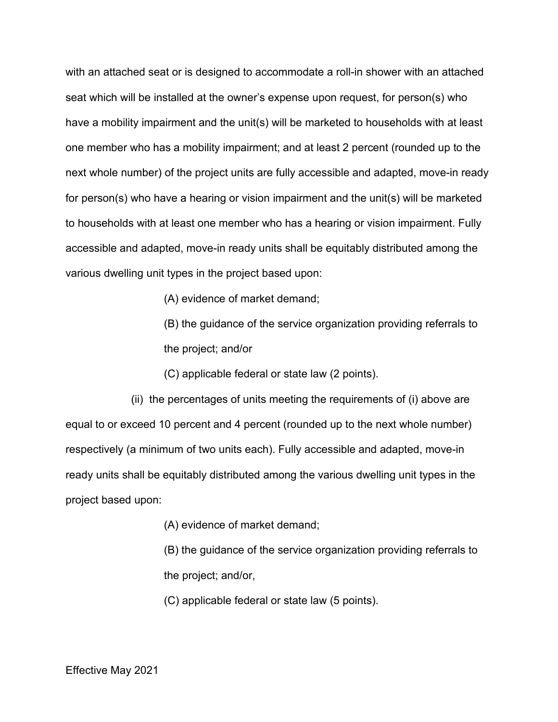with an attached seat or is designed to accommodate a roll-in shower with an attached seat which will be installed at the owner's expense upon request, for person(s) who have a mobility impairment and the unit(s) will be marketed to households with at least one member who has a mobility impairment; and at least 2 percent (rounded up to the next whole number) of the project units are fully accessible and adapted, move-in ready for person(s) who have a hearing or vision impairment and the unit(s) will be marketed to households with at least one member who has a hearing or vision impairment. Fully accessible and adapted, move-in ready units shall be equitably distributed among the various dwelling unit types in the project based upon:

(A) evidence of market demand;

(B) the guidance of the service organization providing referrals to the project; and/or

(C) applicable federal or state law (2 points).

(ii) the percentages of units meeting the requirements of (i) above are equal to or exceed 10 percent and 4 percent (rounded up to the next whole number) respectively (a minimum of two units each). Fully accessible and adapted, move-in ready units shall be equitably distributed among the various dwelling unit types in the project based upon:

(A) evidence of market demand;

(B) the guidance of the service organization providing referrals to the project; and/or,

(C) applicable federal or state law (5 points).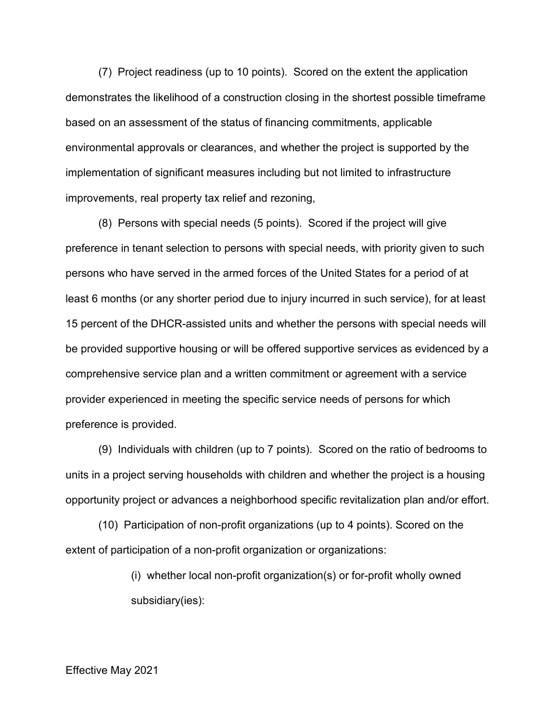(7) Project readiness (up to 10 points). Scored on the extent the application demonstrates the likelihood of a construction closing in the shortest possible timeframe based on an assessment of the status of financing commitments, applicable environmental approvals or clearances, and whether the project is supported by the implementation of significant measures including but not limited to infrastructure improvements, real property tax relief and rezoning,

(8) Persons with special needs (5 points). Scored if the project will give preference in tenant selection to persons with special needs, with priority given to such persons who have served in the armed forces of the United States for a period of at least 6 months (or any shorter period due to injury incurred in such service), for at least 15 percent of the DHCR-assisted units and whether the persons with special needs will be provided supportive housing or will be offered supportive services as evidenced by a comprehensive service plan and a written commitment or agreement with a service provider experienced in meeting the specific service needs of persons for which preference is provided.

(9) Individuals with children (up to 7 points). Scored on the ratio of bedrooms to units in a project serving households with children and whether the project is a housing opportunity project or advances a neighborhood specific revitalization plan and/or effort.

(10) Participation of non-profit organizations (up to 4 points). Scored on the extent of participation of a non-profit organization or organizations:

> (i) whether local non-profit organization(s) or for-profit wholly owned subsidiary(ies):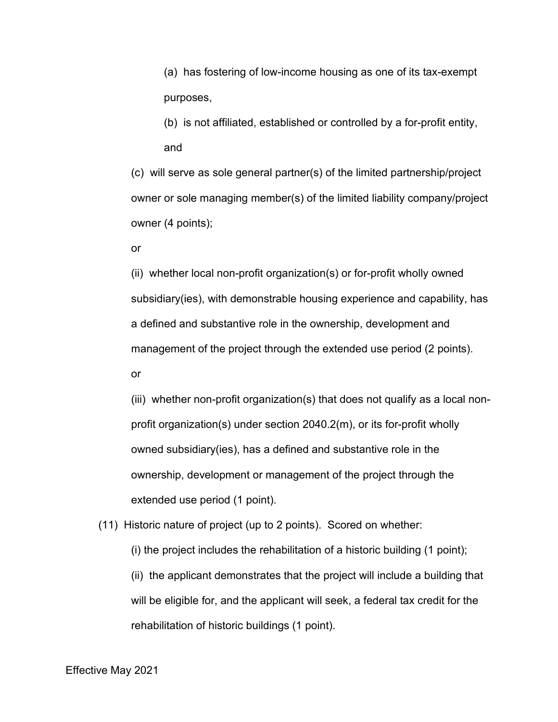(a) has fostering of low-income housing as one of its tax-exempt purposes,

(b) is not affiliated, established or controlled by a for-profit entity, and

(c) will serve as sole general partner(s) of the limited partnership/project owner or sole managing member(s) of the limited liability company/project owner (4 points);

or

(ii) whether local non-profit organization(s) or for-profit wholly owned subsidiary(ies), with demonstrable housing experience and capability, has a defined and substantive role in the ownership, development and management of the project through the extended use period (2 points). or

(iii) whether non-profit organization(s) that does not qualify as a local nonprofit organization(s) under section 2040.2(m), or its for-profit wholly owned subsidiary(ies), has a defined and substantive role in the ownership, development or management of the project through the extended use period (1 point).

(11) Historic nature of project (up to 2 points). Scored on whether:

(i) the project includes the rehabilitation of a historic building (1 point);

(ii) the applicant demonstrates that the project will include a building that will be eligible for, and the applicant will seek, a federal tax credit for the rehabilitation of historic buildings (1 point).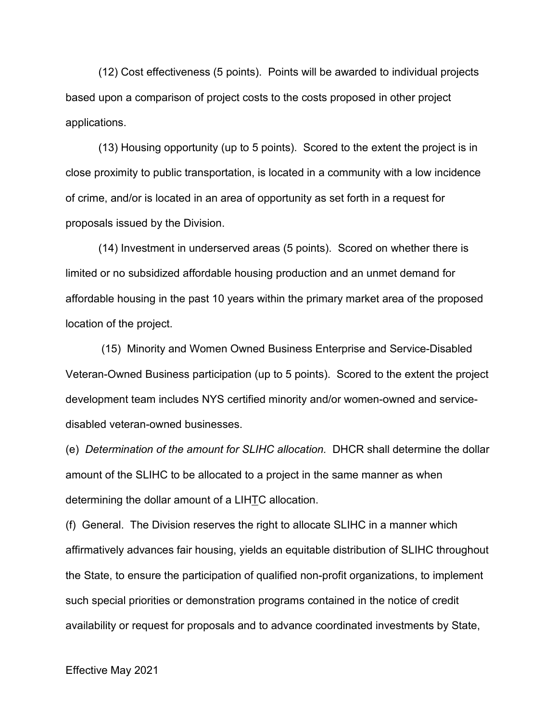(12) Cost effectiveness (5 points). Points will be awarded to individual projects based upon a comparison of project costs to the costs proposed in other project applications.

(13) Housing opportunity (up to 5 points). Scored to the extent the project is in close proximity to public transportation, is located in a community with a low incidence of crime, and/or is located in an area of opportunity as set forth in a request for proposals issued by the Division.

(14) Investment in underserved areas (5 points). Scored on whether there is limited or no subsidized affordable housing production and an unmet demand for affordable housing in the past 10 years within the primary market area of the proposed location of the project.

(15) Minority and Women Owned Business Enterprise and Service-Disabled Veteran-Owned Business participation (up to 5 points). Scored to the extent the project development team includes NYS certified minority and/or women-owned and servicedisabled veteran-owned businesses.

(e) *Determination of the amount for SLIHC allocation.* DHCR shall determine the dollar amount of the SLIHC to be allocated to a project in the same manner as when determining the dollar amount of a LIHTC allocation.

(f) General. The Division reserves the right to allocate SLIHC in a manner which affirmatively advances fair housing, yields an equitable distribution of SLIHC throughout the State, to ensure the participation of qualified non-profit organizations, to implement such special priorities or demonstration programs contained in the notice of credit availability or request for proposals and to advance coordinated investments by State,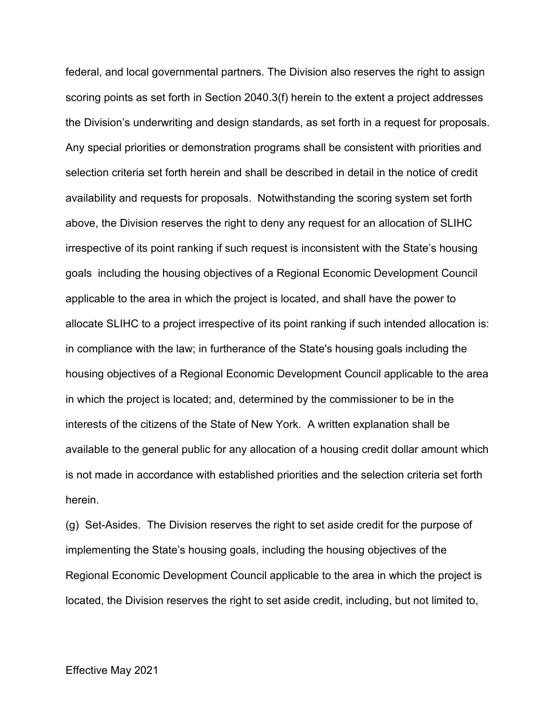federal, and local governmental partners. The Division also reserves the right to assign scoring points as set forth in Section 2040.3(f) herein to the extent a project addresses the Division's underwriting and design standards, as set forth in a request for proposals. Any special priorities or demonstration programs shall be consistent with priorities and selection criteria set forth herein and shall be described in detail in the notice of credit availability and requests for proposals. Notwithstanding the scoring system set forth above, the Division reserves the right to deny any request for an allocation of SLIHC irrespective of its point ranking if such request is inconsistent with the State's housing goals including the housing objectives of a Regional Economic Development Council applicable to the area in which the project is located, and shall have the power to allocate SLIHC to a project irrespective of its point ranking if such intended allocation is: in compliance with the law; in furtherance of the State's housing goals including the housing objectives of a Regional Economic Development Council applicable to the area in which the project is located; and, determined by the commissioner to be in the interests of the citizens of the State of New York. A written explanation shall be available to the general public for any allocation of a housing credit dollar amount which is not made in accordance with established priorities and the selection criteria set forth herein.

(g) Set-Asides. The Division reserves the right to set aside credit for the purpose of implementing the State's housing goals, including the housing objectives of the Regional Economic Development Council applicable to the area in which the project is located, the Division reserves the right to set aside credit, including, but not limited to,